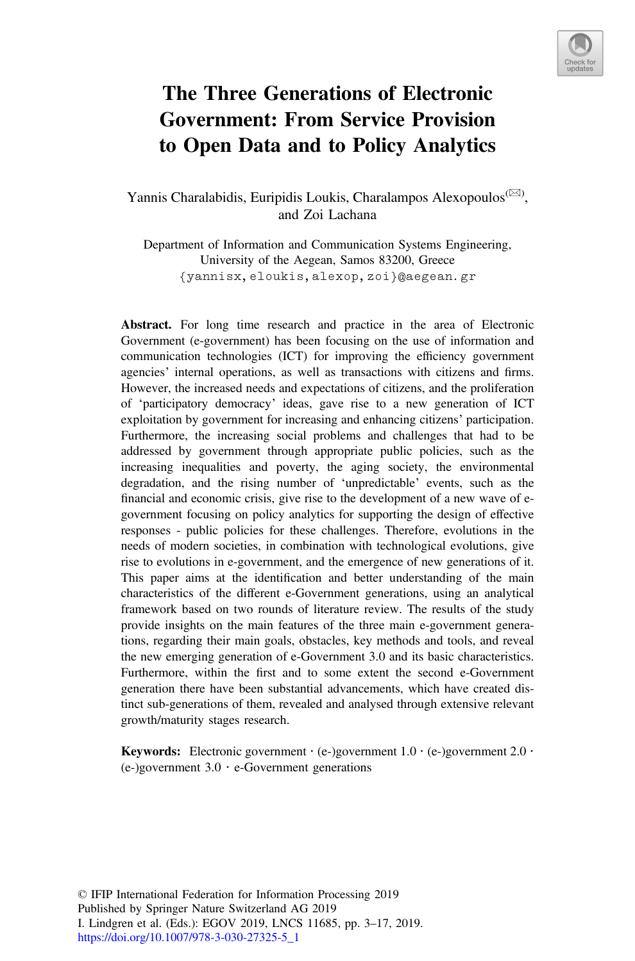

# The Three Generations of Electronic Government: From Service Provision to Open Data and to Policy Analytics

Yannis Charalabidis, Euripidis Loukis, Charalampos Alexopoulos<sup>(⊠)</sup>, and Zoi Lachana

Department of Information and Communication Systems Engineering, University of the Aegean, Samos 83200, Greece {yannisx, eloukis, alexop, zoi}@aegean.gr  ${y \choose 2}$ 

Abstract. For long time research and practice in the area of Electronic Government (e-government) has been focusing on the use of information and communication technologies (ICT) for improving the efficiency government agencies' internal operations, as well as transactions with citizens and firms. However, the increased needs and expectations of citizens, and the proliferation of 'participatory democracy' ideas, gave rise to a new generation of ICT exploitation by government for increasing and enhancing citizens' participation. Furthermore, the increasing social problems and challenges that had to be addressed by government through appropriate public policies, such as the increasing inequalities and poverty, the aging society, the environmental degradation, and the rising number of 'unpredictable' events, such as the financial and economic crisis, give rise to the development of a new wave of egovernment focusing on policy analytics for supporting the design of effective responses - public policies for these challenges. Therefore, evolutions in the needs of modern societies, in combination with technological evolutions, give rise to evolutions in e-government, and the emergence of new generations of it. This paper aims at the identification and better understanding of the main characteristics of the different e-Government generations, using an analytical framework based on two rounds of literature review. The results of the study provide insights on the main features of the three main e-government generations, regarding their main goals, obstacles, key methods and tools, and reveal the new emerging generation of e-Government 3.0 and its basic characteristics. Furthermore, within the first and to some extent the second e-Government generation there have been substantial advancements, which have created distinct sub-generations of them, revealed and analysed through extensive relevant growth/maturity stages research.

**Keywords:** Electronic government  $\cdot$  (e-)government  $1.0 \cdot$  (e-)government  $2.0 \cdot$  (e-)government 3.0  $\cdot$  e-Government generations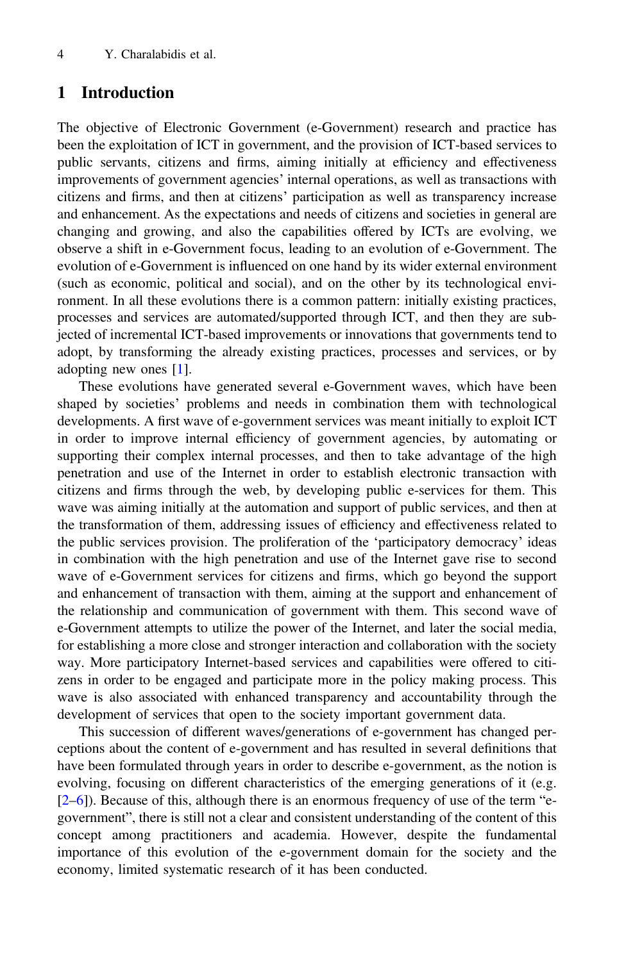### 1 Introduction

The objective of Electronic Government (e-Government) research and practice has been the exploitation of ICT in government, and the provision of ICT-based services to public servants, citizens and firms, aiming initially at efficiency and effectiveness improvements of government agencies' internal operations, as well as transactions with citizens and firms, and then at citizens' participation as well as transparency increase and enhancement. As the expectations and needs of citizens and societies in general are changing and growing, and also the capabilities offered by ICTs are evolving, we observe a shift in e-Government focus, leading to an evolution of e-Government. The evolution of e-Government is influenced on one hand by its wider external environment (such as economic, political and social), and on the other by its technological environment. In all these evolutions there is a common pattern: initially existing practices, processes and services are automated/supported through ICT, and then they are subjected of incremental ICT-based improvements or innovations that governments tend to adopt, by transforming the already existing practices, processes and services, or by adopting new ones [\[1](#page-11-0)].

These evolutions have generated several e-Government waves, which have been shaped by societies' problems and needs in combination them with technological developments. A first wave of e-government services was meant initially to exploit ICT in order to improve internal efficiency of government agencies, by automating or supporting their complex internal processes, and then to take advantage of the high penetration and use of the Internet in order to establish electronic transaction with citizens and firms through the web, by developing public e-services for them. This wave was aiming initially at the automation and support of public services, and then at the transformation of them, addressing issues of efficiency and effectiveness related to the public services provision. The proliferation of the 'participatory democracy' ideas in combination with the high penetration and use of the Internet gave rise to second wave of e-Government services for citizens and firms, which go beyond the support and enhancement of transaction with them, aiming at the support and enhancement of the relationship and communication of government with them. This second wave of e-Government attempts to utilize the power of the Internet, and later the social media, for establishing a more close and stronger interaction and collaboration with the society way. More participatory Internet-based services and capabilities were offered to citizens in order to be engaged and participate more in the policy making process. This wave is also associated with enhanced transparency and accountability through the development of services that open to the society important government data.

This succession of different waves/generations of e-government has changed perceptions about the content of e-government and has resulted in several definitions that have been formulated through years in order to describe e-government, as the notion is evolving, focusing on different characteristics of the emerging generations of it (e.g. [[2](#page-11-0)–[6\]](#page-12-0)). Because of this, although there is an enormous frequency of use of the term "egovernment", there is still not a clear and consistent understanding of the content of this concept among practitioners and academia. However, despite the fundamental importance of this evolution of the e-government domain for the society and the economy, limited systematic research of it has been conducted.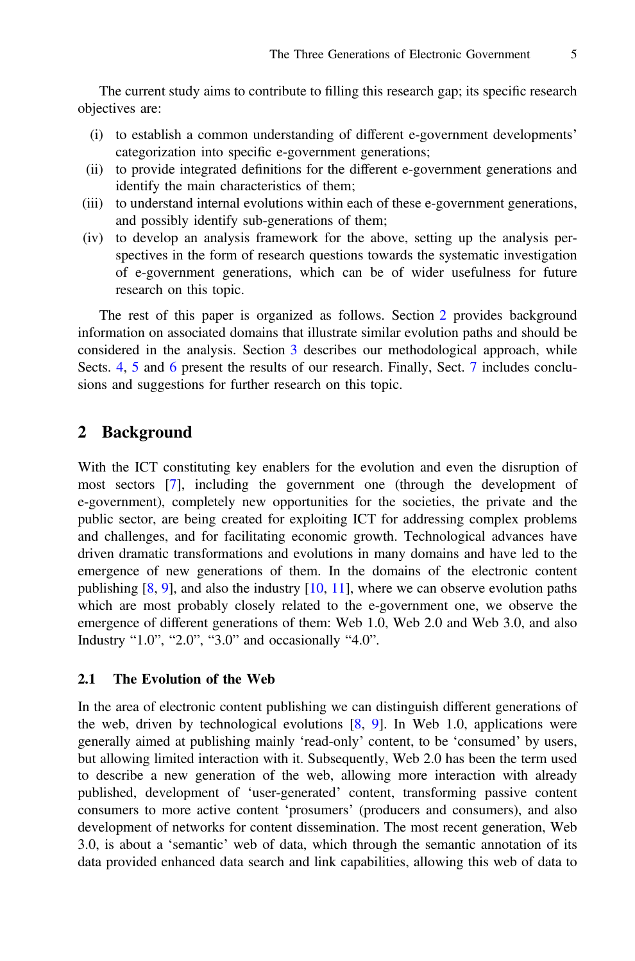The current study aims to contribute to filling this research gap; its specific research objectives are:

- (i) to establish a common understanding of different e-government developments' categorization into specific e-government generations;
- (ii) to provide integrated definitions for the different e-government generations and identify the main characteristics of them;
- (iii) to understand internal evolutions within each of these e-government generations, and possibly identify sub-generations of them;
- (iv) to develop an analysis framework for the above, setting up the analysis perspectives in the form of research questions towards the systematic investigation of e-government generations, which can be of wider usefulness for future research on this topic.

The rest of this paper is organized as follows. Section 2 provides background information on associated domains that illustrate similar evolution paths and should be considered in the analysis. Section [3](#page-3-0) describes our methodological approach, while Sects. [4](#page-5-0), [5](#page-7-0) and [6](#page-8-0) present the results of our research. Finally, Sect. [7](#page-11-0) includes conclusions and suggestions for further research on this topic.

## 2 Background

With the ICT constituting key enablers for the evolution and even the disruption of most sectors [\[7](#page-12-0)], including the government one (through the development of e-government), completely new opportunities for the societies, the private and the public sector, are being created for exploiting ICT for addressing complex problems and challenges, and for facilitating economic growth. Technological advances have driven dramatic transformations and evolutions in many domains and have led to the emergence of new generations of them. In the domains of the electronic content publishing [[8,](#page-12-0) [9\]](#page-12-0), and also the industry [\[10](#page-12-0), [11](#page-12-0)], where we can observe evolution paths which are most probably closely related to the e-government one, we observe the emergence of different generations of them: Web 1.0, Web 2.0 and Web 3.0, and also Industry "1.0", "2.0", "3.0" and occasionally "4.0".

#### 2.1 The Evolution of the Web

In the area of electronic content publishing we can distinguish different generations of the web, driven by technological evolutions  $[8, 9]$  $[8, 9]$  $[8, 9]$  $[8, 9]$ . In Web 1.0, applications were generally aimed at publishing mainly 'read-only' content, to be 'consumed' by users, but allowing limited interaction with it. Subsequently, Web 2.0 has been the term used to describe a new generation of the web, allowing more interaction with already published, development of 'user-generated' content, transforming passive content consumers to more active content 'prosumers' (producers and consumers), and also development of networks for content dissemination. The most recent generation, Web 3.0, is about a 'semantic' web of data, which through the semantic annotation of its data provided enhanced data search and link capabilities, allowing this web of data to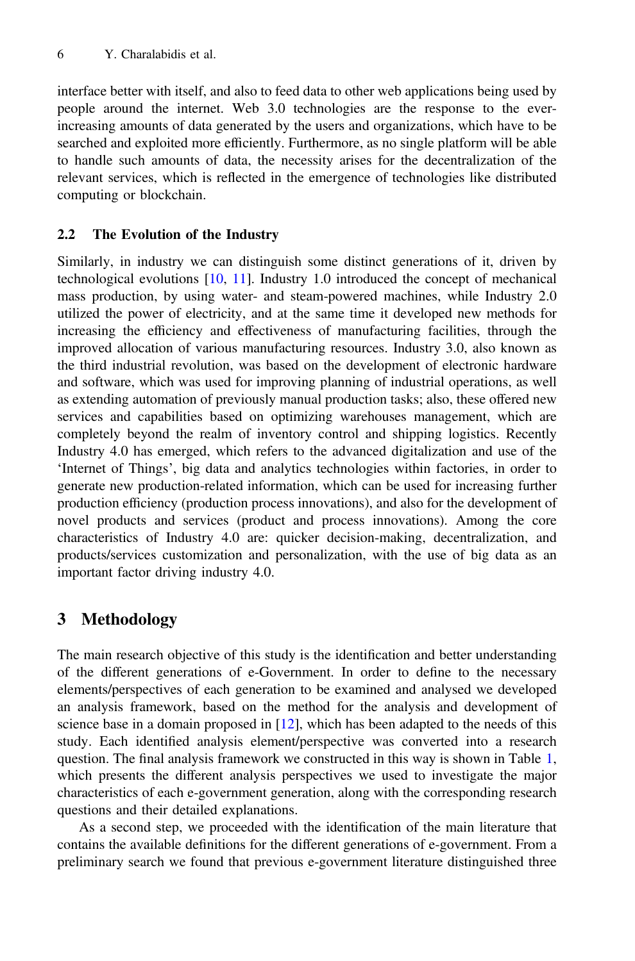<span id="page-3-0"></span>interface better with itself, and also to feed data to other web applications being used by people around the internet. Web 3.0 technologies are the response to the everincreasing amounts of data generated by the users and organizations, which have to be searched and exploited more efficiently. Furthermore, as no single platform will be able to handle such amounts of data, the necessity arises for the decentralization of the relevant services, which is reflected in the emergence of technologies like distributed computing or blockchain.

#### 2.2 The Evolution of the Industry

Similarly, in industry we can distinguish some distinct generations of it, driven by technological evolutions [[10,](#page-12-0) [11\]](#page-12-0). Industry 1.0 introduced the concept of mechanical mass production, by using water- and steam-powered machines, while Industry 2.0 utilized the power of electricity, and at the same time it developed new methods for increasing the efficiency and effectiveness of manufacturing facilities, through the improved allocation of various manufacturing resources. Industry 3.0, also known as the third industrial revolution, was based on the development of electronic hardware and software, which was used for improving planning of industrial operations, as well as extending automation of previously manual production tasks; also, these offered new services and capabilities based on optimizing warehouses management, which are completely beyond the realm of inventory control and shipping logistics. Recently Industry 4.0 has emerged, which refers to the advanced digitalization and use of the 'Internet of Things', big data and analytics technologies within factories, in order to generate new production-related information, which can be used for increasing further production efficiency (production process innovations), and also for the development of novel products and services (product and process innovations). Among the core characteristics of Industry 4.0 are: quicker decision-making, decentralization, and products/services customization and personalization, with the use of big data as an important factor driving industry 4.0.

#### 3 Methodology

The main research objective of this study is the identification and better understanding of the different generations of e-Government. In order to define to the necessary elements/perspectives of each generation to be examined and analysed we developed an analysis framework, based on the method for the analysis and development of science base in a domain proposed in  $[12]$  $[12]$ , which has been adapted to the needs of this study. Each identified analysis element/perspective was converted into a research question. The final analysis framework we constructed in this way is shown in Table [1](#page-4-0), which presents the different analysis perspectives we used to investigate the major characteristics of each e-government generation, along with the corresponding research questions and their detailed explanations.

As a second step, we proceeded with the identification of the main literature that contains the available definitions for the different generations of e-government. From a preliminary search we found that previous e-government literature distinguished three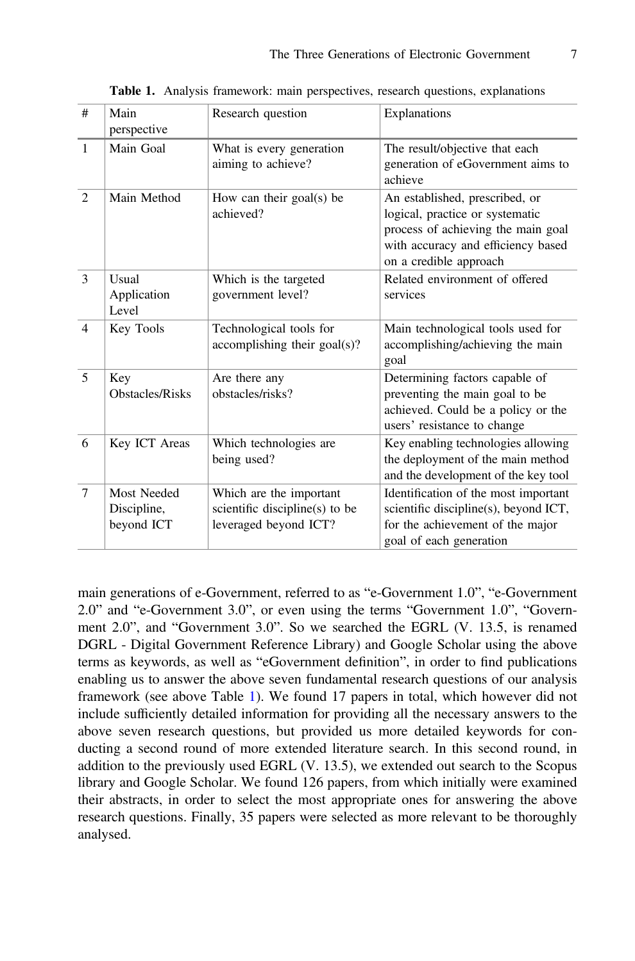<span id="page-4-0"></span>

| #              | Main<br>perspective                      | Research question                                                                  | Explanations                                                                                                                                                            |
|----------------|------------------------------------------|------------------------------------------------------------------------------------|-------------------------------------------------------------------------------------------------------------------------------------------------------------------------|
| $\mathbf{1}$   | Main Goal                                | What is every generation<br>aiming to achieve?                                     | The result/objective that each<br>generation of eGovernment aims to<br>achieve                                                                                          |
| $\overline{2}$ | Main Method                              | How can their goal(s) be<br>achieved?                                              | An established, prescribed, or<br>logical, practice or systematic<br>process of achieving the main goal<br>with accuracy and efficiency based<br>on a credible approach |
| 3              | Usual<br>Application<br>Level            | Which is the targeted<br>government level?                                         | Related environment of offered<br>services                                                                                                                              |
| $\overline{4}$ | Key Tools                                | Technological tools for<br>$accomplishing$ their $goal(s)?$                        | Main technological tools used for<br>accomplishing/achieving the main<br>goal                                                                                           |
| 5              | Key<br>Obstacles/Risks                   | Are there any<br>obstacles/risks?                                                  | Determining factors capable of<br>preventing the main goal to be<br>achieved. Could be a policy or the<br>users' resistance to change                                   |
| 6              | Key ICT Areas                            | Which technologies are<br>being used?                                              | Key enabling technologies allowing<br>the deployment of the main method<br>and the development of the key tool                                                          |
| $\tau$         | Most Needed<br>Discipline,<br>beyond ICT | Which are the important<br>scientific discipline(s) to be<br>leveraged beyond ICT? | Identification of the most important<br>scientific discipline(s), beyond ICT,<br>for the achievement of the major<br>goal of each generation                            |

Table 1. Analysis framework: main perspectives, research questions, explanations

main generations of e-Government, referred to as "e-Government 1.0", "e-Government 2.0" and "e-Government 3.0", or even using the terms "Government 1.0", "Government 2.0", and "Government 3.0". So we searched the EGRL (V. 13.5, is renamed DGRL - Digital Government Reference Library) and Google Scholar using the above terms as keywords, as well as "eGovernment definition", in order to find publications enabling us to answer the above seven fundamental research questions of our analysis framework (see above Table 1). We found 17 papers in total, which however did not include sufficiently detailed information for providing all the necessary answers to the above seven research questions, but provided us more detailed keywords for conducting a second round of more extended literature search. In this second round, in addition to the previously used EGRL (V. 13.5), we extended out search to the Scopus library and Google Scholar. We found 126 papers, from which initially were examined their abstracts, in order to select the most appropriate ones for answering the above research questions. Finally, 35 papers were selected as more relevant to be thoroughly analysed.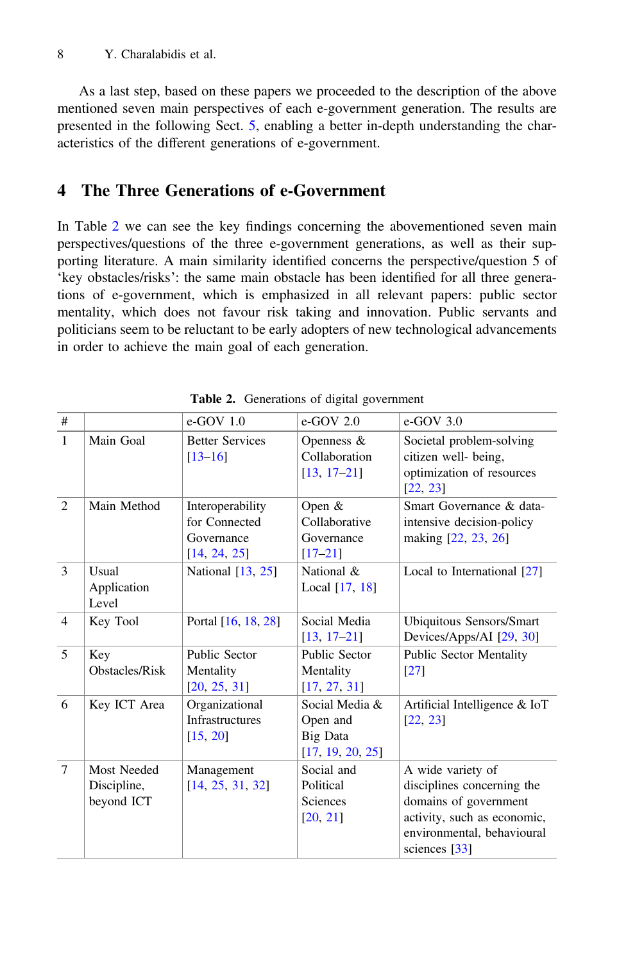<span id="page-5-0"></span>As a last step, based on these papers we proceeded to the description of the above mentioned seven main perspectives of each e-government generation. The results are presented in the following Sect. [5](#page-7-0), enabling a better in-depth understanding the characteristics of the different generations of e-government.

# 4 The Three Generations of e-Government

In Table 2 we can see the key findings concerning the abovementioned seven main perspectives/questions of the three e-government generations, as well as their supporting literature. A main similarity identified concerns the perspective/question 5 of 'key obstacles/risks': the same main obstacle has been identified for all three generations of e-government, which is emphasized in all relevant papers: public sector mentality, which does not favour risk taking and innovation. Public servants and politicians seem to be reluctant to be early adopters of new technological advancements in order to achieve the main goal of each generation.

| $\#$           |                                          | e-GOV 1.0                                                       | $e$ -GOV 2.0                                               | $e$ -GOV 3.0                                                                                                                                             |
|----------------|------------------------------------------|-----------------------------------------------------------------|------------------------------------------------------------|----------------------------------------------------------------------------------------------------------------------------------------------------------|
| $\mathbf{1}$   | Main Goal                                | <b>Better Services</b><br>$[13-16]$                             | Openness &<br>Collaboration<br>$[13, 17-21]$               | Societal problem-solving<br>citizen well- being,<br>optimization of resources<br>[22, 23]                                                                |
| $\overline{2}$ | Main Method                              | Interoperability<br>for Connected<br>Governance<br>[14, 24, 25] | Open &<br>Collaborative<br>Governance<br>$[17-21]$         | Smart Governance & data-<br>intensive decision-policy<br>making [22, 23, 26]                                                                             |
| 3              | Usual<br>Application<br>Level            | National $[13, 25]$                                             | National &<br>Local [17, 18]                               | Local to International [27]                                                                                                                              |
| $\overline{4}$ | Key Tool                                 | Portal [16, 18, 28]                                             | Social Media<br>$[13, 17-21]$                              | Ubiquitous Sensors/Smart<br>Devices/Apps/AI [29, 30]                                                                                                     |
| 5              | Key<br>Obstacles/Risk                    | Public Sector<br>Mentality<br>[20, 25, 31]                      | Public Sector<br>Mentality<br>[17, 27, 31]                 | Public Sector Mentality<br>$\left[27\right]$                                                                                                             |
| 6              | Key ICT Area                             | Organizational<br><b>Infrastructures</b><br>[15, 20]            | Social Media &<br>Open and<br>Big Data<br>[17, 19, 20, 25] | Artificial Intelligence & IoT<br>[22, 23]                                                                                                                |
| $\overline{7}$ | Most Needed<br>Discipline,<br>beyond ICT | Management<br>[14, 25, 31, 32]                                  | Social and<br>Political<br><b>Sciences</b><br>[20, 21]     | A wide variety of<br>disciplines concerning the<br>domains of government<br>activity, such as economic,<br>environmental, behavioural<br>sciences $[33]$ |

Table 2. Generations of digital government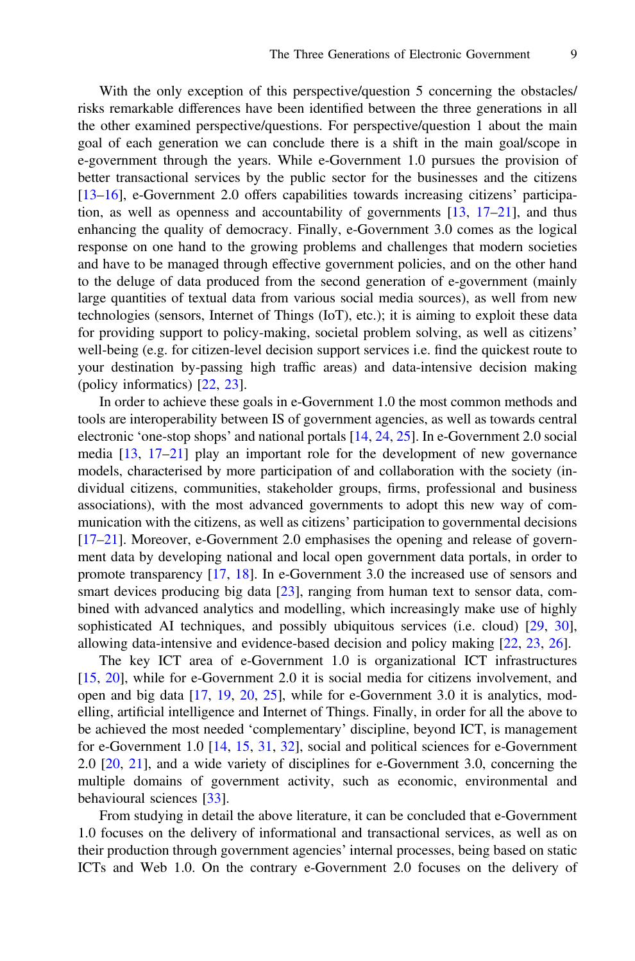With the only exception of this perspective/question 5 concerning the obstacles/ risks remarkable differences have been identified between the three generations in all the other examined perspective/questions. For perspective/question 1 about the main goal of each generation we can conclude there is a shift in the main goal/scope in e-government through the years. While e-Government 1.0 pursues the provision of better transactional services by the public sector for the businesses and the citizens [\[13](#page-12-0)–[16](#page-12-0)], e-Government 2.0 offers capabilities towards increasing citizens' participation, as well as openness and accountability of governments  $[13, 17-21]$  $[13, 17-21]$  $[13, 17-21]$  $[13, 17-21]$  $[13, 17-21]$  $[13, 17-21]$ , and thus enhancing the quality of democracy. Finally, e-Government 3.0 comes as the logical response on one hand to the growing problems and challenges that modern societies and have to be managed through effective government policies, and on the other hand to the deluge of data produced from the second generation of e-government (mainly large quantities of textual data from various social media sources), as well from new technologies (sensors, Internet of Things (IoT), etc.); it is aiming to exploit these data for providing support to policy-making, societal problem solving, as well as citizens' well-being (e.g. for citizen-level decision support services i.e. find the quickest route to your destination by-passing high traffic areas) and data-intensive decision making (policy informatics) [[22,](#page-12-0) [23](#page-13-0)].

In order to achieve these goals in e-Government 1.0 the most common methods and tools are interoperability between IS of government agencies, as well as towards central electronic 'one-stop shops' and national portals [\[14](#page-12-0), [24,](#page-13-0) [25](#page-13-0)]. In e-Government 2.0 social media [[13,](#page-12-0) [17](#page-12-0)–[21](#page-12-0)] play an important role for the development of new governance models, characterised by more participation of and collaboration with the society (individual citizens, communities, stakeholder groups, firms, professional and business associations), with the most advanced governments to adopt this new way of communication with the citizens, as well as citizens' participation to governmental decisions [\[17](#page-12-0)–[21](#page-12-0)]. Moreover, e-Government 2.0 emphasises the opening and release of government data by developing national and local open government data portals, in order to promote transparency [[17,](#page-12-0) [18\]](#page-12-0). In e-Government 3.0 the increased use of sensors and smart devices producing big data [\[23](#page-13-0)], ranging from human text to sensor data, combined with advanced analytics and modelling, which increasingly make use of highly sophisticated AI techniques, and possibly ubiquitous services (i.e. cloud) [[29,](#page-13-0) [30\]](#page-13-0), allowing data-intensive and evidence-based decision and policy making [[22,](#page-12-0) [23](#page-13-0), [26\]](#page-13-0).

The key ICT area of e-Government 1.0 is organizational ICT infrastructures [\[15](#page-12-0), [20\]](#page-12-0), while for e-Government 2.0 it is social media for citizens involvement, and open and big data [\[17](#page-12-0), [19](#page-12-0), [20](#page-12-0), [25](#page-13-0)], while for e-Government 3.0 it is analytics, modelling, artificial intelligence and Internet of Things. Finally, in order for all the above to be achieved the most needed 'complementary' discipline, beyond ICT, is management for e-Government 1.0 [\[14](#page-12-0), [15](#page-12-0), [31,](#page-13-0) [32](#page-13-0)], social and political sciences for e-Government 2.0 [\[20](#page-12-0), [21](#page-12-0)], and a wide variety of disciplines for e-Government 3.0, concerning the multiple domains of government activity, such as economic, environmental and behavioural sciences [\[33](#page-13-0)].

From studying in detail the above literature, it can be concluded that e-Government 1.0 focuses on the delivery of informational and transactional services, as well as on their production through government agencies' internal processes, being based on static ICTs and Web 1.0. On the contrary e-Government 2.0 focuses on the delivery of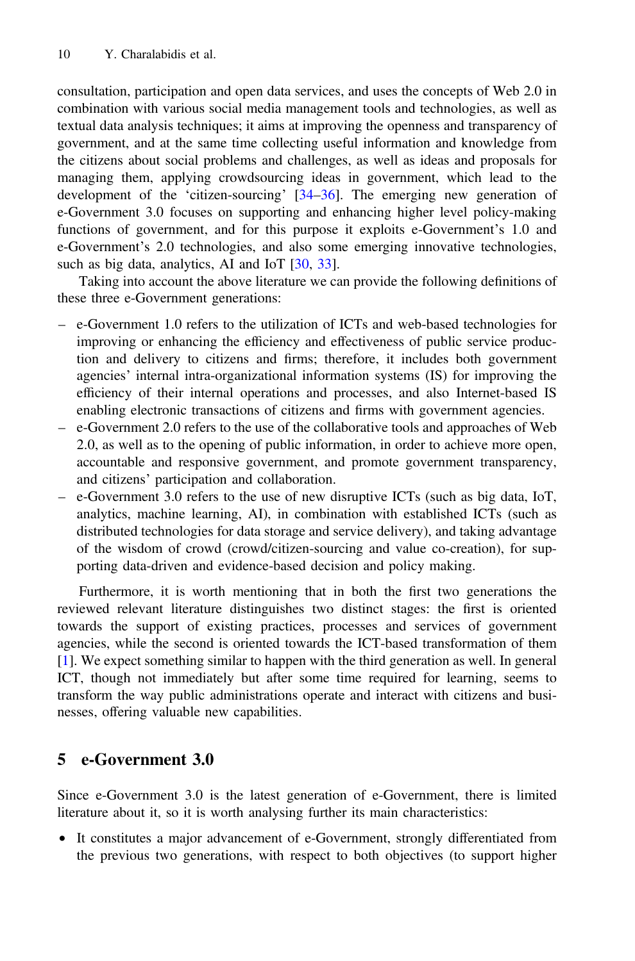<span id="page-7-0"></span>consultation, participation and open data services, and uses the concepts of Web 2.0 in combination with various social media management tools and technologies, as well as textual data analysis techniques; it aims at improving the openness and transparency of government, and at the same time collecting useful information and knowledge from the citizens about social problems and challenges, as well as ideas and proposals for managing them, applying crowdsourcing ideas in government, which lead to the development of the 'citizen-sourcing' [\[34](#page-13-0)–[36](#page-13-0)]. The emerging new generation of e-Government 3.0 focuses on supporting and enhancing higher level policy-making functions of government, and for this purpose it exploits e-Government's 1.0 and e-Government's 2.0 technologies, and also some emerging innovative technologies, such as big data, analytics, AI and IoT [\[30](#page-13-0), [33\]](#page-13-0).

Taking into account the above literature we can provide the following definitions of these three e-Government generations:

- e-Government 1.0 refers to the utilization of ICTs and web-based technologies for improving or enhancing the efficiency and effectiveness of public service production and delivery to citizens and firms; therefore, it includes both government agencies' internal intra-organizational information systems (IS) for improving the efficiency of their internal operations and processes, and also Internet-based IS enabling electronic transactions of citizens and firms with government agencies.
- e-Government 2.0 refers to the use of the collaborative tools and approaches of Web 2.0, as well as to the opening of public information, in order to achieve more open, accountable and responsive government, and promote government transparency, and citizens' participation and collaboration.
- e-Government 3.0 refers to the use of new disruptive ICTs (such as big data, IoT, analytics, machine learning, AI), in combination with established ICTs (such as distributed technologies for data storage and service delivery), and taking advantage of the wisdom of crowd (crowd/citizen-sourcing and value co-creation), for supporting data-driven and evidence-based decision and policy making.

Furthermore, it is worth mentioning that in both the first two generations the reviewed relevant literature distinguishes two distinct stages: the first is oriented towards the support of existing practices, processes and services of government agencies, while the second is oriented towards the ICT-based transformation of them [[1\]](#page-11-0). We expect something similar to happen with the third generation as well. In general ICT, though not immediately but after some time required for learning, seems to transform the way public administrations operate and interact with citizens and businesses, offering valuable new capabilities.

# 5 e-Government 3.0

Since e-Government 3.0 is the latest generation of e-Government, there is limited literature about it, so it is worth analysing further its main characteristics:

• It constitutes a major advancement of e-Government, strongly differentiated from the previous two generations, with respect to both objectives (to support higher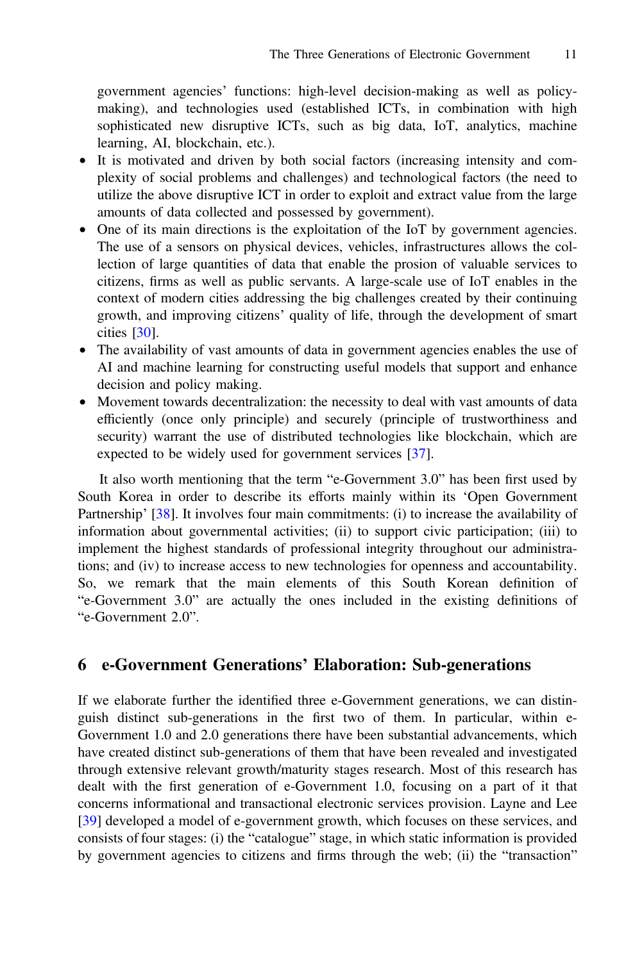<span id="page-8-0"></span>government agencies' functions: high-level decision-making as well as policymaking), and technologies used (established ICTs, in combination with high sophisticated new disruptive ICTs, such as big data, IoT, analytics, machine learning, AI, blockchain, etc.).

- It is motivated and driven by both social factors (increasing intensity and complexity of social problems and challenges) and technological factors (the need to utilize the above disruptive ICT in order to exploit and extract value from the large amounts of data collected and possessed by government).
- One of its main directions is the exploitation of the IoT by government agencies. The use of a sensors on physical devices, vehicles, infrastructures allows the collection of large quantities of data that enable the prosion of valuable services to citizens, firms as well as public servants. A large-scale use of IoT enables in the context of modern cities addressing the big challenges created by their continuing growth, and improving citizens' quality of life, through the development of smart cities [[30\]](#page-13-0).
- The availability of vast amounts of data in government agencies enables the use of AI and machine learning for constructing useful models that support and enhance decision and policy making.
- Movement towards decentralization: the necessity to deal with vast amounts of data efficiently (once only principle) and securely (principle of trustworthiness and security) warrant the use of distributed technologies like blockchain, which are expected to be widely used for government services [[37\]](#page-13-0).

It also worth mentioning that the term "e-Government 3.0" has been first used by South Korea in order to describe its efforts mainly within its 'Open Government Partnership' [[38\]](#page-13-0). It involves four main commitments: (i) to increase the availability of information about governmental activities; (ii) to support civic participation; (iii) to implement the highest standards of professional integrity throughout our administrations; and (iv) to increase access to new technologies for openness and accountability. So, we remark that the main elements of this South Korean definition of "e-Government 3.0" are actually the ones included in the existing definitions of "e-Government 2.0".

# 6 e-Government Generations' Elaboration: Sub-generations

If we elaborate further the identified three e-Government generations, we can distinguish distinct sub-generations in the first two of them. In particular, within e-Government 1.0 and 2.0 generations there have been substantial advancements, which have created distinct sub-generations of them that have been revealed and investigated through extensive relevant growth/maturity stages research. Most of this research has dealt with the first generation of e-Government 1.0, focusing on a part of it that concerns informational and transactional electronic services provision. Layne and Lee [\[39](#page-13-0)] developed a model of e-government growth, which focuses on these services, and consists of four stages: (i) the "catalogue" stage, in which static information is provided by government agencies to citizens and firms through the web; (ii) the "transaction"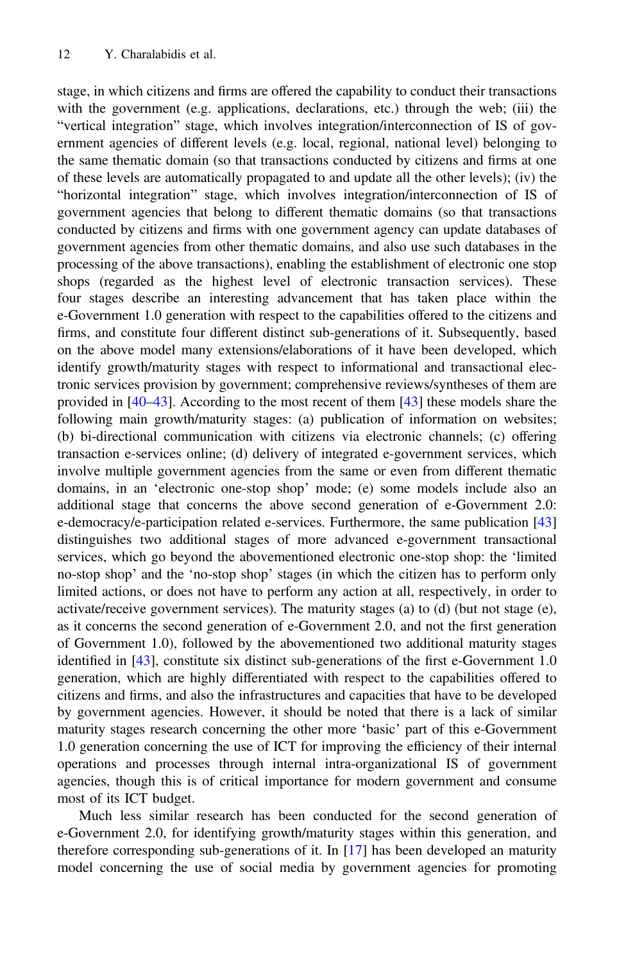stage, in which citizens and firms are offered the capability to conduct their transactions with the government (e.g. applications, declarations, etc.) through the web; (iii) the "vertical integration" stage, which involves integration/interconnection of IS of government agencies of different levels (e.g. local, regional, national level) belonging to the same thematic domain (so that transactions conducted by citizens and firms at one of these levels are automatically propagated to and update all the other levels); (iv) the "horizontal integration" stage, which involves integration/interconnection of IS of government agencies that belong to different thematic domains (so that transactions conducted by citizens and firms with one government agency can update databases of government agencies from other thematic domains, and also use such databases in the processing of the above transactions), enabling the establishment of electronic one stop shops (regarded as the highest level of electronic transaction services). These four stages describe an interesting advancement that has taken place within the e-Government 1.0 generation with respect to the capabilities offered to the citizens and firms, and constitute four different distinct sub-generations of it. Subsequently, based on the above model many extensions/elaborations of it have been developed, which identify growth/maturity stages with respect to informational and transactional electronic services provision by government; comprehensive reviews/syntheses of them are provided in [\[40](#page-13-0)–[43](#page-14-0)]. According to the most recent of them [[43\]](#page-14-0) these models share the following main growth/maturity stages: (a) publication of information on websites; (b) bi-directional communication with citizens via electronic channels; (c) offering transaction e-services online; (d) delivery of integrated e-government services, which involve multiple government agencies from the same or even from different thematic domains, in an 'electronic one-stop shop' mode; (e) some models include also an additional stage that concerns the above second generation of e-Government 2.0: e-democracy/e-participation related e-services. Furthermore, the same publication [\[43](#page-14-0)] distinguishes two additional stages of more advanced e-government transactional services, which go beyond the abovementioned electronic one-stop shop: the 'limited no-stop shop' and the 'no-stop shop' stages (in which the citizen has to perform only limited actions, or does not have to perform any action at all, respectively, in order to activate/receive government services). The maturity stages (a) to (d) (but not stage (e), as it concerns the second generation of e-Government 2.0, and not the first generation of Government 1.0), followed by the abovementioned two additional maturity stages identified in [\[43](#page-14-0)], constitute six distinct sub-generations of the first e-Government 1.0 generation, which are highly differentiated with respect to the capabilities offered to citizens and firms, and also the infrastructures and capacities that have to be developed by government agencies. However, it should be noted that there is a lack of similar maturity stages research concerning the other more 'basic' part of this e-Government 1.0 generation concerning the use of ICT for improving the efficiency of their internal operations and processes through internal intra-organizational IS of government agencies, though this is of critical importance for modern government and consume most of its ICT budget.

Much less similar research has been conducted for the second generation of e-Government 2.0, for identifying growth/maturity stages within this generation, and therefore corresponding sub-generations of it. In [[17\]](#page-12-0) has been developed an maturity model concerning the use of social media by government agencies for promoting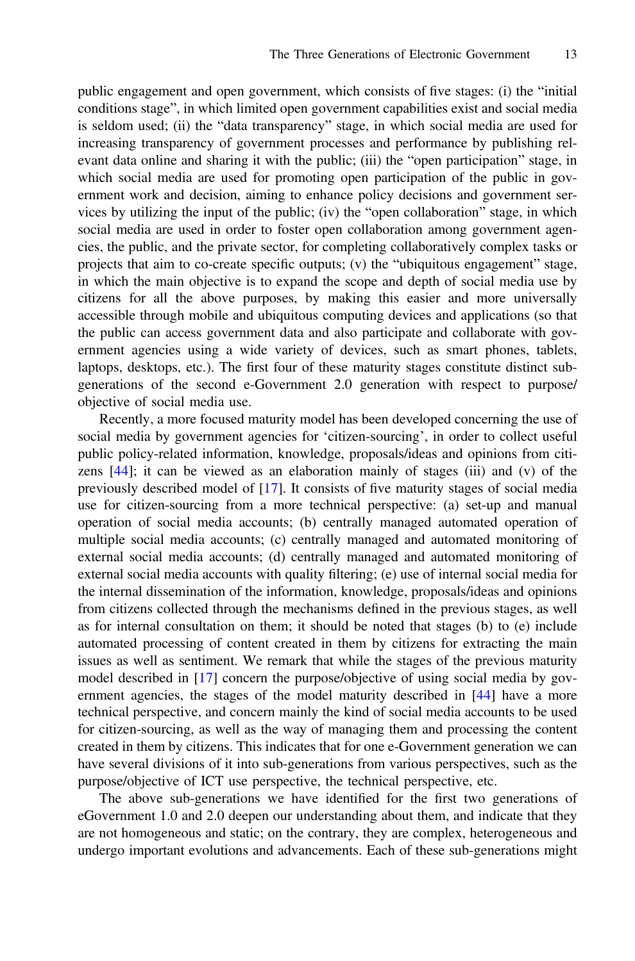public engagement and open government, which consists of five stages: (i) the "initial conditions stage", in which limited open government capabilities exist and social media is seldom used; (ii) the "data transparency" stage, in which social media are used for increasing transparency of government processes and performance by publishing relevant data online and sharing it with the public; (iii) the "open participation" stage, in which social media are used for promoting open participation of the public in government work and decision, aiming to enhance policy decisions and government services by utilizing the input of the public; (iv) the "open collaboration" stage, in which social media are used in order to foster open collaboration among government agencies, the public, and the private sector, for completing collaboratively complex tasks or projects that aim to co-create specific outputs; (v) the "ubiquitous engagement" stage, in which the main objective is to expand the scope and depth of social media use by citizens for all the above purposes, by making this easier and more universally accessible through mobile and ubiquitous computing devices and applications (so that the public can access government data and also participate and collaborate with government agencies using a wide variety of devices, such as smart phones, tablets, laptops, desktops, etc.). The first four of these maturity stages constitute distinct subgenerations of the second e-Government 2.0 generation with respect to purpose/ objective of social media use.

Recently, a more focused maturity model has been developed concerning the use of social media by government agencies for 'citizen-sourcing', in order to collect useful public policy-related information, knowledge, proposals/ideas and opinions from citizens [\[44](#page-14-0)]; it can be viewed as an elaboration mainly of stages (iii) and (v) of the previously described model of [[17\]](#page-12-0). It consists of five maturity stages of social media use for citizen-sourcing from a more technical perspective: (a) set-up and manual operation of social media accounts; (b) centrally managed automated operation of multiple social media accounts; (c) centrally managed and automated monitoring of external social media accounts; (d) centrally managed and automated monitoring of external social media accounts with quality filtering; (e) use of internal social media for the internal dissemination of the information, knowledge, proposals/ideas and opinions from citizens collected through the mechanisms defined in the previous stages, as well as for internal consultation on them; it should be noted that stages (b) to (e) include automated processing of content created in them by citizens for extracting the main issues as well as sentiment. We remark that while the stages of the previous maturity model described in [\[17](#page-12-0)] concern the purpose/objective of using social media by government agencies, the stages of the model maturity described in [[44\]](#page-14-0) have a more technical perspective, and concern mainly the kind of social media accounts to be used for citizen-sourcing, as well as the way of managing them and processing the content created in them by citizens. This indicates that for one e-Government generation we can have several divisions of it into sub-generations from various perspectives, such as the purpose/objective of ICT use perspective, the technical perspective, etc.

The above sub-generations we have identified for the first two generations of eGovernment 1.0 and 2.0 deepen our understanding about them, and indicate that they are not homogeneous and static; on the contrary, they are complex, heterogeneous and undergo important evolutions and advancements. Each of these sub-generations might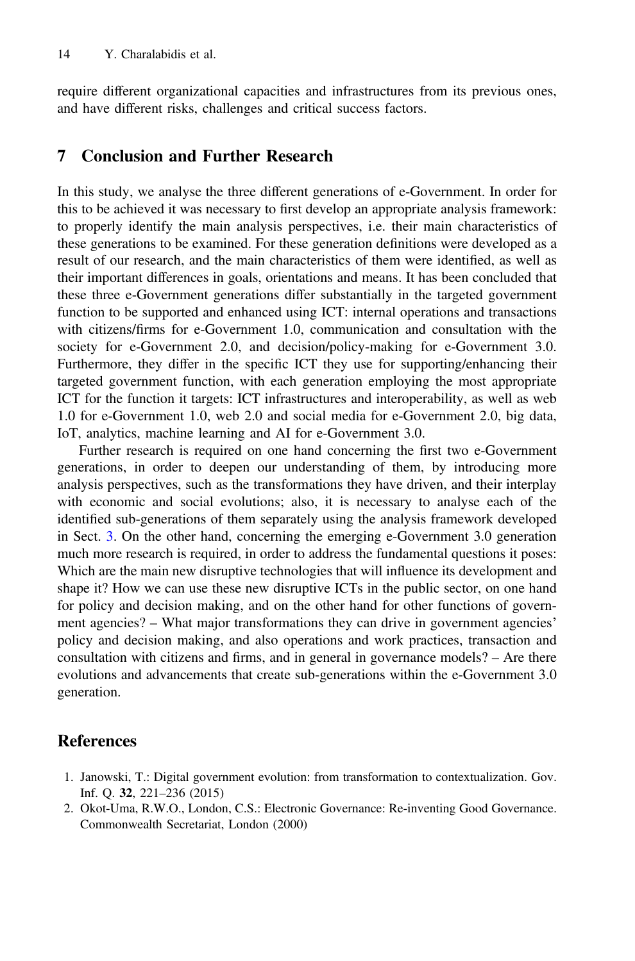<span id="page-11-0"></span>require different organizational capacities and infrastructures from its previous ones, and have different risks, challenges and critical success factors.

## 7 Conclusion and Further Research

In this study, we analyse the three different generations of e-Government. In order for this to be achieved it was necessary to first develop an appropriate analysis framework: to properly identify the main analysis perspectives, i.e. their main characteristics of these generations to be examined. For these generation definitions were developed as a result of our research, and the main characteristics of them were identified, as well as their important differences in goals, orientations and means. It has been concluded that these three e-Government generations differ substantially in the targeted government function to be supported and enhanced using ICT: internal operations and transactions with citizens/firms for e-Government 1.0, communication and consultation with the society for e-Government 2.0, and decision/policy-making for e-Government 3.0. Furthermore, they differ in the specific ICT they use for supporting/enhancing their targeted government function, with each generation employing the most appropriate ICT for the function it targets: ICT infrastructures and interoperability, as well as web 1.0 for e-Government 1.0, web 2.0 and social media for e-Government 2.0, big data, IoT, analytics, machine learning and AI for e-Government 3.0.

Further research is required on one hand concerning the first two e-Government generations, in order to deepen our understanding of them, by introducing more analysis perspectives, such as the transformations they have driven, and their interplay with economic and social evolutions; also, it is necessary to analyse each of the identified sub-generations of them separately using the analysis framework developed in Sect. [3.](#page-3-0) On the other hand, concerning the emerging e-Government 3.0 generation much more research is required, in order to address the fundamental questions it poses: Which are the main new disruptive technologies that will influence its development and shape it? How we can use these new disruptive ICTs in the public sector, on one hand for policy and decision making, and on the other hand for other functions of government agencies? – What major transformations they can drive in government agencies' policy and decision making, and also operations and work practices, transaction and consultation with citizens and firms, and in general in governance models? – Are there evolutions and advancements that create sub-generations within the e-Government 3.0 generation.

# References

- 1. Janowski, T.: Digital government evolution: from transformation to contextualization. Gov. Inf. Q. 32, 221–236 (2015)
- 2. Okot-Uma, R.W.O., London, C.S.: Electronic Governance: Re-inventing Good Governance. Commonwealth Secretariat, London (2000)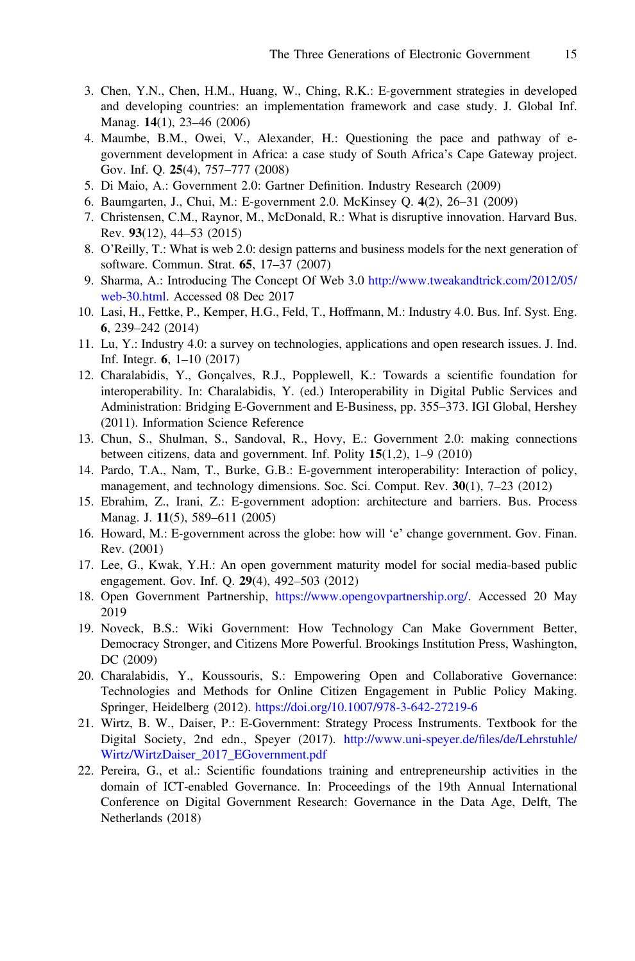- <span id="page-12-0"></span>3. Chen, Y.N., Chen, H.M., Huang, W., Ching, R.K.: E-government strategies in developed and developing countries: an implementation framework and case study. J. Global Inf. Manag. 14(1), 23–46 (2006)
- 4. Maumbe, B.M., Owei, V., Alexander, H.: Questioning the pace and pathway of egovernment development in Africa: a case study of South Africa's Cape Gateway project. Gov. Inf. Q. 25(4), 757–777 (2008)
- 5. Di Maio, A.: Government 2.0: Gartner Definition. Industry Research (2009)
- 6. Baumgarten, J., Chui, M.: E-government 2.0. McKinsey Q. 4(2), 26–31 (2009)
- 7. Christensen, C.M., Raynor, M., McDonald, R.: What is disruptive innovation. Harvard Bus. Rev. 93(12), 44–53 (2015)
- 8. O'Reilly, T.: What is web 2.0: design patterns and business models for the next generation of software. Commun. Strat. 65, 17–37 (2007)
- 9. Sharma, A.: Introducing The Concept Of Web 3.0 [http://www.tweakandtrick.com/2012/05/](http://www.tweakandtrick.com/2012/05/web-30.html) [web-30.html.](http://www.tweakandtrick.com/2012/05/web-30.html) Accessed 08 Dec 2017
- 10. Lasi, H., Fettke, P., Kemper, H.G., Feld, T., Hoffmann, M.: Industry 4.0. Bus. Inf. Syst. Eng. 6, 239–242 (2014)
- 11. Lu, Y.: Industry 4.0: a survey on technologies, applications and open research issues. J. Ind. Inf. Integr. 6, 1–10 (2017)
- 12. Charalabidis, Y., Gonçalves, R.J., Popplewell, K.: Towards a scientific foundation for interoperability. In: Charalabidis, Y. (ed.) Interoperability in Digital Public Services and Administration: Bridging E-Government and E-Business, pp. 355–373. IGI Global, Hershey (2011). Information Science Reference
- 13. Chun, S., Shulman, S., Sandoval, R., Hovy, E.: Government 2.0: making connections between citizens, data and government. Inf. Polity 15(1,2), 1–9 (2010)
- 14. Pardo, T.A., Nam, T., Burke, G.B.: E-government interoperability: Interaction of policy, management, and technology dimensions. Soc. Sci. Comput. Rev. 30(1), 7–23 (2012)
- 15. Ebrahim, Z., Irani, Z.: E-government adoption: architecture and barriers. Bus. Process Manag. J. 11(5), 589–611 (2005)
- 16. Howard, M.: E-government across the globe: how will 'e' change government. Gov. Finan. Rev. (2001)
- 17. Lee, G., Kwak, Y.H.: An open government maturity model for social media-based public engagement. Gov. Inf. Q. 29(4), 492–503 (2012)
- 18. Open Government Partnership, <https://www.opengovpartnership.org/>. Accessed 20 May 2019
- 19. Noveck, B.S.: Wiki Government: How Technology Can Make Government Better, Democracy Stronger, and Citizens More Powerful. Brookings Institution Press, Washington, DC (2009)
- 20. Charalabidis, Y., Koussouris, S.: Empowering Open and Collaborative Governance: Technologies and Methods for Online Citizen Engagement in Public Policy Making. Springer, Heidelberg (2012). [https://doi.org/10.1007/978-3-642-27219-6](http://dx.doi.org/10.1007/978-3-642-27219-6)
- 21. Wirtz, B. W., Daiser, P.: E-Government: Strategy Process Instruments. Textbook for the Digital Society, 2nd edn., Speyer (2017). [http://www.uni-speyer.de/](http://www.uni-speyer.de/files/de/Lehrstubchle/Wirtz/WirtzDaiser_2017_EGovernment.pdf)files/de/Lehrstuhle/ [Wirtz/WirtzDaiser\\_2017\\_EGovernment.pdf](http://www.uni-speyer.de/files/de/Lehrstubchle/Wirtz/WirtzDaiser_2017_EGovernment.pdf)
- 22. Pereira, G., et al.: Scientific foundations training and entrepreneurship activities in the domain of ICT-enabled Governance. In: Proceedings of the 19th Annual International Conference on Digital Government Research: Governance in the Data Age, Delft, The Netherlands (2018)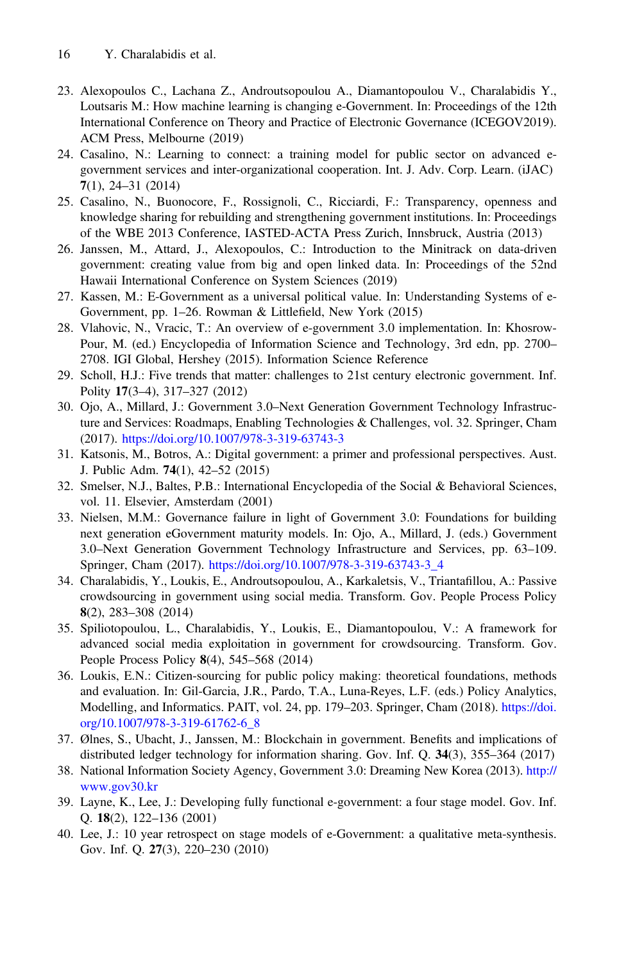- <span id="page-13-0"></span>23. Alexopoulos C., Lachana Z., Androutsopoulou A., Diamantopoulou V., Charalabidis Y., Loutsaris M.: How machine learning is changing e-Government. In: Proceedings of the 12th International Conference on Theory and Practice of Electronic Governance (ICEGOV2019). ACM Press, Melbourne (2019)
- 24. Casalino, N.: Learning to connect: a training model for public sector on advanced egovernment services and inter-organizational cooperation. Int. J. Adv. Corp. Learn. (iJAC) 7(1), 24–31 (2014)
- 25. Casalino, N., Buonocore, F., Rossignoli, C., Ricciardi, F.: Transparency, openness and knowledge sharing for rebuilding and strengthening government institutions. In: Proceedings of the WBE 2013 Conference, IASTED-ACTA Press Zurich, Innsbruck, Austria (2013)
- 26. Janssen, M., Attard, J., Alexopoulos, C.: Introduction to the Minitrack on data-driven government: creating value from big and open linked data. In: Proceedings of the 52nd Hawaii International Conference on System Sciences (2019)
- 27. Kassen, M.: E-Government as a universal political value. In: Understanding Systems of e-Government, pp. 1–26. Rowman & Littlefield, New York (2015)
- 28. Vlahovic, N., Vracic, T.: An overview of e-government 3.0 implementation. In: Khosrow-Pour, M. (ed.) Encyclopedia of Information Science and Technology, 3rd edn, pp. 2700– 2708. IGI Global, Hershey (2015). Information Science Reference
- 29. Scholl, H.J.: Five trends that matter: challenges to 21st century electronic government. Inf. Polity 17(3–4), 317–327 (2012)
- 30. Ojo, A., Millard, J.: Government 3.0–Next Generation Government Technology Infrastructure and Services: Roadmaps, Enabling Technologies & Challenges, vol. 32. Springer, Cham (2017). [https://doi.org/10.1007/978-3-319-63743-3](http://dx.doi.org/10.1007/978-3-319-63743-3)
- 31. Katsonis, M., Botros, A.: Digital government: a primer and professional perspectives. Aust. J. Public Adm. 74(1), 42–52 (2015)
- 32. Smelser, N.J., Baltes, P.B.: International Encyclopedia of the Social & Behavioral Sciences, vol. 11. Elsevier, Amsterdam (2001)
- 33. Nielsen, M.M.: Governance failure in light of Government 3.0: Foundations for building next generation eGovernment maturity models. In: Ojo, A., Millard, J. (eds.) Government 3.0–Next Generation Government Technology Infrastructure and Services, pp. 63–109. Springer, Cham (2017). [https://doi.org/10.1007/978-3-319-63743-3\\_4](http://dx.doi.org/10.1007/978-3-319-63743-3_4)
- 34. Charalabidis, Y., Loukis, E., Androutsopoulou, A., Karkaletsis, V., Triantafillou, A.: Passive crowdsourcing in government using social media. Transform. Gov. People Process Policy 8(2), 283–308 (2014)
- 35. Spiliotopoulou, L., Charalabidis, Y., Loukis, E., Diamantopoulou, V.: A framework for advanced social media exploitation in government for crowdsourcing. Transform. Gov. People Process Policy 8(4), 545–568 (2014)
- 36. Loukis, E.N.: Citizen-sourcing for public policy making: theoretical foundations, methods and evaluation. In: Gil-Garcia, J.R., Pardo, T.A., Luna-Reyes, L.F. (eds.) Policy Analytics, Modelling, and Informatics. PAIT, vol. 24, pp. 179–203. Springer, Cham (2018). [https://doi.](http://dx.doi.org/10.1007/978-3-319-61762-6_8) [org/10.1007/978-3-319-61762-6\\_8](http://dx.doi.org/10.1007/978-3-319-61762-6_8)
- 37. Ølnes, S., Ubacht, J., Janssen, M.: Blockchain in government. Benefits and implications of distributed ledger technology for information sharing. Gov. Inf. Q. 34(3), 355–364 (2017)
- 38. National Information Society Agency, Government 3.0: Dreaming New Korea (2013). [http://](http://www.gov30.kr) [www.gov30.kr](http://www.gov30.kr)
- 39. Layne, K., Lee, J.: Developing fully functional e-government: a four stage model. Gov. Inf. Q. 18(2), 122–136 (2001)
- 40. Lee, J.: 10 year retrospect on stage models of e-Government: a qualitative meta-synthesis. Gov. Inf. Q. 27(3), 220–230 (2010)